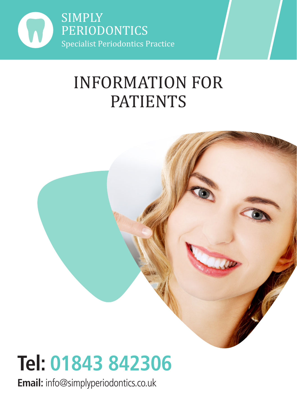

## INFORMATION FOR PATIENTS



# **Tel: 01843 842306**

**Email:** info@simplyperiodontics.co.uk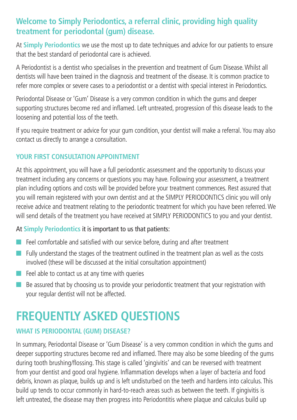#### **Welcome to Simply Periodontics, a referral clinic, providing high quality treatment for periodontal (gum) disease.**

At **Simply Periodontics** we use the most up to date techniques and advice for our patients to ensure that the best standard of periodontal care is achieved.

A Periodontist is a dentist who specialises in the prevention and treatment of Gum Disease. Whilst all dentists will have been trained in the diagnosis and treatment of the disease. It is common practice to refer more complex or severe cases to a periodontist or a dentist with special interest in Periodontics.

Periodontal Disease or 'Gum' Disease is a very common condition in which the gums and deeper supporting structures become red and inflamed. Left untreated, progression of this disease leads to the loosening and potential loss of the teeth.

If you require treatment or advice for your gum condition, your dentist will make a referral. You may also contact us directly to arrange a consultation.

#### **YOUR FIRST CONSULTATION APPOINTMENT**

At this appointment, you will have a full periodontic assessment and the opportunity to discuss your treatment including any concerns or questions you may have. Following your assessment, a treatment plan including options and costs will be provided before your treatment commences. Rest assured that you will remain registered with your own dentist and at the SIMPLY PERIODONTICS clinic you will only receive advice and treatment relating to the periodontic treatment for which you have been referred. We will send details of the treatment you have received at SIMPLY PERIODONTICS to you and your dentist.

#### At **Simply Periodontics** it is important to us that patients:

- $\blacksquare$  Feel comfortable and satisfied with our service before, during and after treatment
- $\blacksquare$  Fully understand the stages of the treatment outlined in the treatment plan as well as the costs involved (these will be discussed at the initial consultation appointment)
- $\blacksquare$  Feel able to contact us at any time with queries
- $\blacksquare$  Be assured that by choosing us to provide your periodontic treatment that your registration with your regular dentist will not be affected.

### **FREQUENTLY ASKED QUESTIONS**

#### **WHAT IS PERIODONTAL (GUM) DISEASE?**

In summary, Periodontal Disease or 'Gum Disease' is a very common condition in which the gums and deeper supporting structures become red and inflamed. There may also be some bleeding of the gums during tooth brushing/flossing. This stage is called 'gingivitis' and can be reversed with treatment from your dentist and good oral hygiene. Inflammation develops when a layer of bacteria and food debris, known as plaque, builds up and is left undisturbed on the teeth and hardens into calculus. This build up tends to occur commonly in hard-to-reach areas such as between the teeth. If gingivitis is left untreated, the disease may then progress into Periodontitis where plaque and calculus build up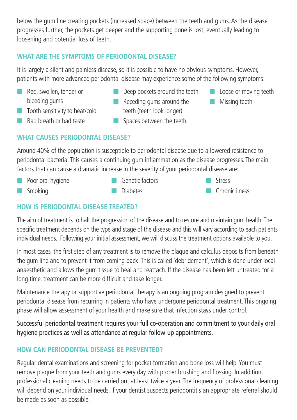below the gum line creating pockets (increased space) between the teeth and gums. As the disease progresses further, the pockets get deeper and the supporting bone is lost, eventually leading to loosening and potential loss of teeth.

#### **WHAT ARE THE SYMPTOMS OF PERIODONTAL DISEASE?**

It is largely a silent and painless disease, so it is possible to have no obvious symptoms. However, patients with more advanced periodontal disease may experience some of the following symptoms:

**n** Red, swollen, tender or bleeding gums

**n** Bad breath or bad taste

- $\blacksquare$  Deep pockets around the teeth
- **n** Loose or moving teeth
- $\blacksquare$  Tooth sensitivity to heat/cold
- $\blacksquare$  Receding gums around the teeth (teeth look longer)
- $\blacksquare$  Missing teeth
- spaces between the teeth

#### **WHAT CAUSES PERIODONTAL DISEASE?**

Around 40% of the population is susceptible to periodontal disease due to a lowered resistance to periodontal bacteria. This causes a continuing gum inflammation as the disease progresses. The main factors that can cause a dramatic increase in the severity of your periodontal disease are:

 $\blacksquare$  Poor oral hygiene  $\blacksquare$  Smoking  $\Box$  Genetic factors n Diahatas n Stress  $\Box$  Chronic ilness

#### **HOW IS PERIODONTAL DISEASE TREATED?**

The aim of treatment is to halt the progression of the disease and to restore and maintain gum health. The specific treatment depends on the type and stage of the disease and this will vary according to each patients individual needs. Following your initial assessment, we will discuss the treatment options available to you.

In most cases, the first step of any treatment is to remove the plaque and calculus deposits from beneath the gum line and to prevent it from coming back. This is called 'debridement', which is done under local anaesthetic and allows the gum tissue to heal and reattach. If the disease has been left untreated for a long time, treatment can be more difficult and take longer.

Maintenance therapy or supportive periodontal therapy is an ongoing program designed to prevent periodontal disease from recurring in patients who have undergone periodontal treatment. This ongoing phase will allow assessment of your health and make sure that infection stays under control.

Successful periodontal treatment requires your full co-operation and commitment to your daily oral hygiene practices as well as attendance at regular follow-up appointments.

#### **HOW CAN PERIODONTAL DISEASE BE PREVENTED?**

Regular dental examinations and screening for pocket formation and bone loss will help. You must remove plaque from your teeth and gums every day with proper brushing and flossing. In addition, professional cleaning needs to be carried out at least twice a year. The frequency of professional cleaning will depend on your individual needs. If your dentist suspects periodontitis an appropriate referral should be made as soon as possible.